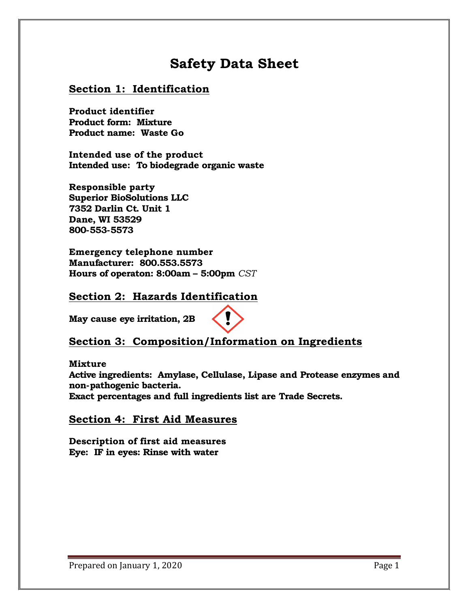# **Safety Data Sheet**

#### **Section 1: Identification**

**Product identifier Product form: Mixture Product name: Waste Go**

**Intended use of the product Intended use: To biodegrade organic waste**

**Responsible party Superior BioSolutions LLC 7352 Darlin Ct. Unit 1 Dane, WI 53529 800-553-5573**

**Emergency telephone number Manufacturer: 800.553.5573 Hours of operaton: 8:00am – 5:00pm** *CST*

#### **Section 2: Hazards Identification**

**May cause eye irritation, 2B**



# **Section 3: Composition/Information on Ingredients**

#### **Mixture**

**Active ingredients: Amylase, Cellulase, Lipase and Protease enzymes and non-pathogenic bacteria.**

**Exact percentages and full ingredients list are Trade Secrets.**

#### **Section 4: First Aid Measures**

**Description of first aid measures Eye: IF in eyes: Rinse with water**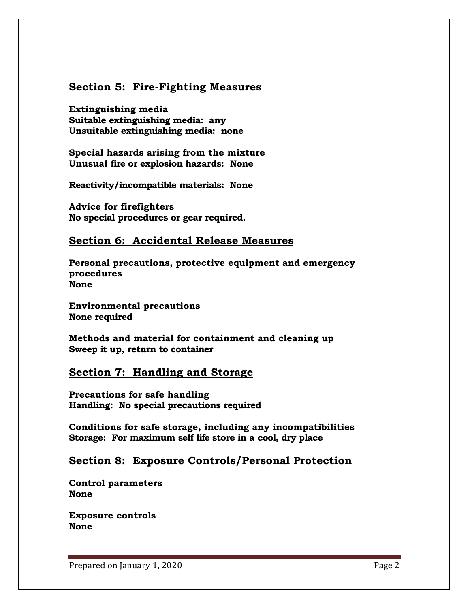### **Section 5: Fire-Fighting Measures**

**Extinguishing media Suitable extinguishing media: any Unsuitable extinguishing media: none**

**Special hazards arising from the mixture Unusual fire or explosion hazards: None**

**Reactivity/incompatible materials: None**

**Advice for firefighters No special procedures or gear required.**

#### **Section 6: Accidental Release Measures**

**Personal precautions, protective equipment and emergency procedures None**

**Environmental precautions None required**

**Methods and material for containment and cleaning up Sweep it up, return to container**

#### **Section 7: Handling and Storage**

**Precautions for safe handling Handling: No special precautions required**

**Conditions for safe storage, including any incompatibilities Storage: For maximum self life store in a cool, dry place**

#### **Section 8: Exposure Controls/Personal Protection**

**Control parameters None**

**Exposure controls None**

Prepared on January 1, 2020 Prepared on January 1, 2020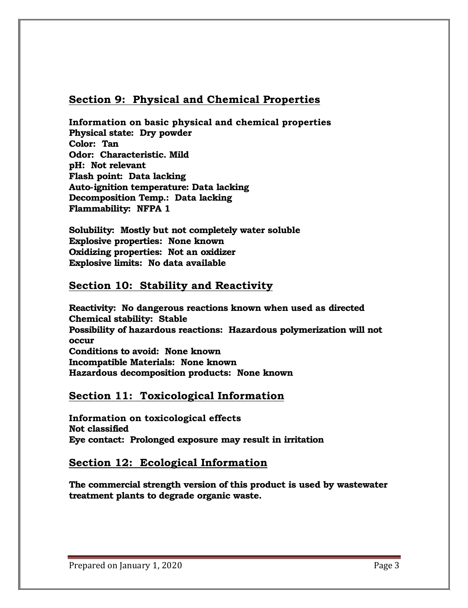### **Section 9: Physical and Chemical Properties**

**Information on basic physical and chemical properties Physical state: Dry powder Color: Tan Odor: Characteristic. Mild pH: Not relevant Flash point: Data lacking Auto-ignition temperature: Data lacking Decomposition Temp.: Data lacking Flammability: NFPA 1**

**Solubility: Mostly but not completely water soluble Explosive properties: None known Oxidizing properties: Not an oxidizer Explosive limits: No data available**

# **Section 10: Stability and Reactivity**

**Reactivity: No dangerous reactions known when used as directed Chemical stability: Stable Possibility of hazardous reactions: Hazardous polymerization will not occur Conditions to avoid: None known Incompatible Materials: None known Hazardous decomposition products: None known**

#### **Section 11: Toxicological Information**

**Information on toxicological effects Not classified Eye contact: Prolonged exposure may result in irritation**

# **Section 12: Ecological Information**

**The commercial strength version of this product is used by wastewater treatment plants to degrade organic waste.**